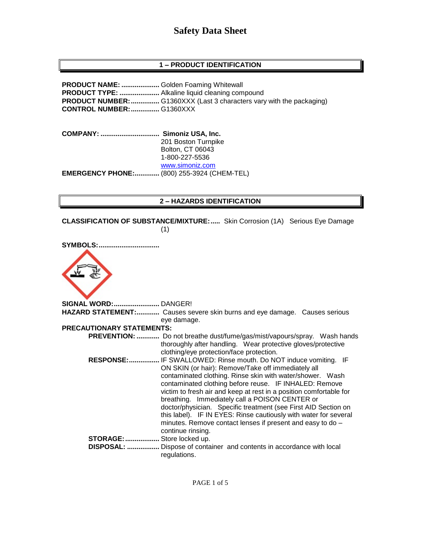# **1 – PRODUCT IDENTIFICATION**

**PRODUCT NAME: ....................** Golden Foaming Whitewall **PRODUCT TYPE: .....................** Alkaline liquid cleaning compound **PRODUCT NUMBER:...............** G1360XXX (Last 3 characters vary with the packaging) **CONTROL NUMBER:...............** G1360XXX

**COMPANY: ............................... Simoniz USA, Inc.** 201 Boston Turnpike Bolton, CT 06043 1-800-227-5536 [www.simoniz.com](http://www.simoniz.com/) **EMERGENCY PHONE:.............** (800) 255-3924 (CHEM-TEL)

#### **2 – HAZARDS IDENTIFICATION**

**CLASSIFICATION OF SUBSTANCE/MIXTURE:.....** Skin Corrosion (1A) Serious Eye Damage (1)

| <b>SYMBOLS:</b>                  |                                                                                                                    |
|----------------------------------|--------------------------------------------------------------------------------------------------------------------|
|                                  |                                                                                                                    |
| SIGNAL WORD: DANGER!             |                                                                                                                    |
|                                  | <b>HAZARD STATEMENT:</b> Causes severe skin burns and eye damage. Causes serious                                   |
|                                  | eye damage.                                                                                                        |
| <b>PRECAUTIONARY STATEMENTS:</b> |                                                                                                                    |
|                                  | <b>PREVENTION: </b> Do not breathe dust/fume/gas/mist/vapours/spray. Wash hands                                    |
|                                  | thoroughly after handling. Wear protective gloves/protective                                                       |
|                                  | clothing/eye protection/face protection.                                                                           |
| <b>RESPONSE:</b>                 | IF SWALLOWED: Rinse mouth. Do NOT induce vomiting. IF                                                              |
|                                  | $\bigcap_{i=1}^n I_i$ and $I_i$ . In the $\bigcap_{i=1}^n I_i$ is the $I_i$ in the $I_i$ in the $I_i$ is the $I_i$ |

|                   | clothing/eye protection/face protection.                           |  |
|-------------------|--------------------------------------------------------------------|--|
| <b>RESPONSE:</b>  | IF SWALLOWED: Rinse mouth. Do NOT induce vomiting. IF              |  |
|                   | ON SKIN (or hair): Remove/Take off immediately all                 |  |
|                   | contaminated clothing. Rinse skin with water/shower. Wash          |  |
|                   | contaminated clothing before reuse. IF INHALED: Remove             |  |
|                   | victim to fresh air and keep at rest in a position comfortable for |  |
|                   | breathing. Immediately call a POISON CENTER or                     |  |
|                   | doctor/physician. Specific treatment (see First AID Section on     |  |
|                   | this label). IF IN EYES: Rinse cautiously with water for several   |  |
|                   | minutes. Remove contact lenses if present and easy to do -         |  |
|                   | continue rinsing.                                                  |  |
| STORAGE:          | Store locked up.                                                   |  |
| <b>DISPOSAL: </b> | Dispose of container and contents in accordance with local         |  |
|                   | regulations.                                                       |  |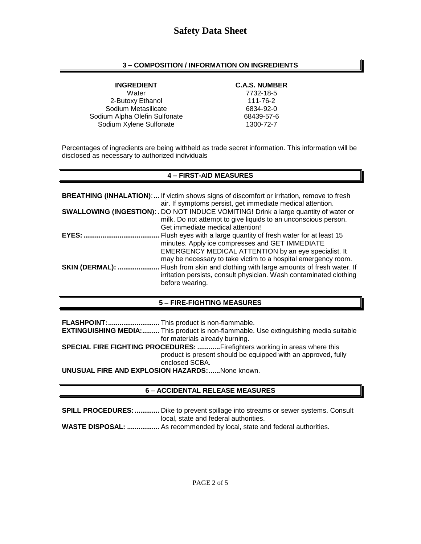## **3 – COMPOSITION / INFORMATION ON INGREDIENTS**

Water 7732-18-5 2-Butoxy Ethanol 111-76-2 Sodium Metasilicate 6834-92-0 Sodium Alpha Olefin Sulfonate 68439-57-6 Sodium Xylene Sulfonate 1300-72-7

## **INGREDIENT C.A.S. NUMBER**

Percentages of ingredients are being withheld as trade secret information. This information will be disclosed as necessary to authorized individuals

## **4 – FIRST-AID MEASURES**

|                | <b>BREATHING (INHALATION):</b> If victim shows signs of discomfort or irritation, remove to fresh<br>air. If symptoms persist, get immediate medical attention.                                                                             |
|----------------|---------------------------------------------------------------------------------------------------------------------------------------------------------------------------------------------------------------------------------------------|
|                | <b>SWALLOWING (INGESTION): .</b> DO NOT INDUCE VOMITING! Drink a large quantity of water or<br>milk. Do not attempt to give liquids to an unconscious person.<br>Get immediate medical attention!                                           |
| <b>EYES:</b>   | Flush eyes with a large quantity of fresh water for at least 15<br>minutes. Apply ice compresses and GET IMMEDIATE<br>EMERGENCY MEDICAL ATTENTION by an eye specialist. It<br>may be necessary to take victim to a hospital emergency room. |
| SKIN (DERMAL): | Flush from skin and clothing with large amounts of fresh water. If<br>irritation persists, consult physician. Wash contaminated clothing<br>before wearing.                                                                                 |

# **5 – FIRE-FIGHTING MEASURES**

**FLASHPOINT:...........................** This product is non-flammable.

**EXTINGUISHING MEDIA:.........** This product is non-flammable. Use extinguishing media suitable for materials already burning.

**SPECIAL FIRE FIGHTING PROCEDURES: ............**Firefighters working in areas where this product is present should be equipped with an approved, fully enclosed SCBA.

**UNUSUAL FIRE AND EXPLOSION HAZARDS:......**None known.

# **6 – ACCIDENTAL RELEASE MEASURES**

**SPILL PROCEDURES:.............** Dike to prevent spillage into streams or sewer systems. Consult local, state and federal authorities.

**WASTE DISPOSAL: .................** As recommended by local, state and federal authorities.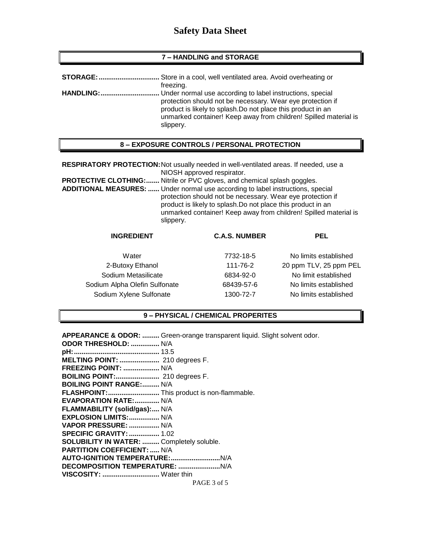#### **7 – HANDLING and STORAGE**

| STORAGE:         | . Store in a cool, well ventilated area. Avoid overheating or                                                                                                                                                                                                            |
|------------------|--------------------------------------------------------------------------------------------------------------------------------------------------------------------------------------------------------------------------------------------------------------------------|
|                  | freezing.                                                                                                                                                                                                                                                                |
| <b>HANDLING:</b> | Under normal use according to label instructions, special<br>protection should not be necessary. Wear eye protection if<br>product is likely to splash. Do not place this product in an<br>unmarked container! Keep away from children! Spilled material is<br>slippery. |

#### **8 – EXPOSURE CONTROLS / PERSONAL PROTECTION**

**RESPIRATORY PROTECTION:**Not usually needed in well-ventilated areas. If needed, use a NIOSH approved respirator.

**PROTECTIVE CLOTHING:.......** Nitrile or PVC gloves, and chemical splash goggles.

**ADDITIONAL MEASURES: ......** Under normal use according to label instructions, special protection should not be necessary. Wear eye protection if product is likely to splash.Do not place this product in an unmarked container! Keep away from children! Spilled material is slippery.

# **INGREDIENT C.A.S. NUMBER PEL**

2-Butoxy Ethanol 111-76-2 20 ppm TLV, 25 ppm PEL Sodium Metasilicate 6834-92-0 No limit established Sodium Alpha Olefin Sulfonate 68439-57-6 No limits established Sodium Xylene Sulfonate 1300-72-7 No limits established

Water **7732-18-5** No limits established

#### **9 – PHYSICAL / CHEMICAL PROPERITES**

**APPEARANCE & ODOR: .........** Green-orange transparent liquid. Slight solvent odor.

| <b>ODOR THRESHOLD:  N/A</b>                |             |
|--------------------------------------------|-------------|
|                                            |             |
| MELTING POINT:  210 degrees F.             |             |
| FREEZING POINT:  N/A                       |             |
| <b>BOILING POINT:</b> 210 degrees F.       |             |
| <b>BOILING POINT RANGE: N/A</b>            |             |
| FLASHPOINT: This product is non-flammable. |             |
| EVAPORATION RATE:  N/A                     |             |
| FLAMMABILITY (solid/gas): N/A              |             |
| EXPLOSION LIMITS:  N/A                     |             |
| VAPOR PRESSURE:  N/A                       |             |
| <b>SPECIFIC GRAVITY:  1.02</b>             |             |
| SOLUBILITY IN WATER:  Completely soluble.  |             |
| <b>PARTITION COEFFICIENT:  N/A</b>         |             |
|                                            |             |
|                                            |             |
| VISCOSITY:  Water thin                     |             |
|                                            | PAGE 3 of 5 |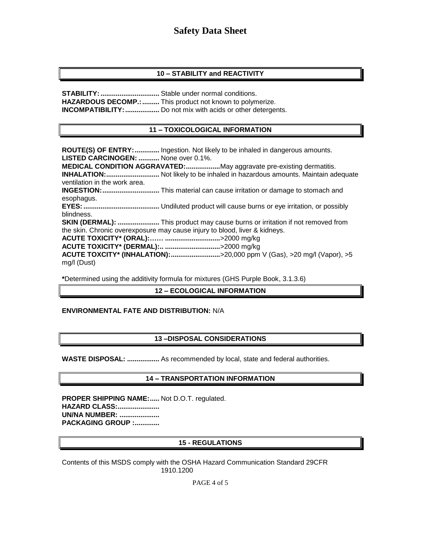# **10 – STABILITY and REACTIVITY**

**STABILITY: .................................** Stable under normal conditions. **HAZARDOUS DECOMP.:.........** This product not known to polymerize. **INCOMPATIBILITY:..................** Do not mix with acids or other detergents.

#### **11 – TOXICOLOGICAL INFORMATION**

**ROUTE(S) OF ENTRY:.............** Ingestion. Not likely to be inhaled in dangerous amounts. **LISTED CARCINOGEN: ...........** None over 0.1%. **MEDICAL CONDITION AGGRAVATED:..................**May aggravate pre-existing dermatitis. **INHALATION:............................** Not likely to be inhaled in hazardous amounts. Maintain adequate ventilation in the work area. **INGESTION:..............................** This material can cause irritation or damage to stomach and esophagus. **EYES:........................................** Undiluted product will cause burns or eye irritation, or possibly blindness. **SKIN (DERMAL): ......................** This product may cause burns or irritation if not removed from the skin. Chronic overexposure may cause injury to blood, liver & kidneys. **ACUTE TOXICITY\* (ORAL):…… .............................**>2000 mg/kg **ACUTE TOXICITY\* (DERMAL):.. .............................**>2000 mg/kg **ACUTE TOXCITY\* (INHALATION):..........................**>20,000 ppm V (Gas), >20 mg/l (Vapor), >5 mg/l (Dust)

**\***Determined using the additivity formula for mixtures (GHS Purple Book, 3.1.3.6)

## **12 – ECOLOGICAL INFORMATION**

#### **ENVIRONMENTAL FATE AND DISTRIBUTION:** N/A

#### **13 –DISPOSAL CONSIDERATIONS**

**WASTE DISPOSAL: .................** As recommended by local, state and federal authorities.

#### **14 – TRANSPORTATION INFORMATION**

**PROPER SHIPPING NAME:.....** Not D.O.T. regulated. **HAZARD CLASS:...................... UN/NA NUMBER: ..................... PACKAGING GROUP :.............**

#### **15 - REGULATIONS**

Contents of this MSDS comply with the OSHA Hazard Communication Standard 29CFR 1910.1200

PAGE 4 of 5